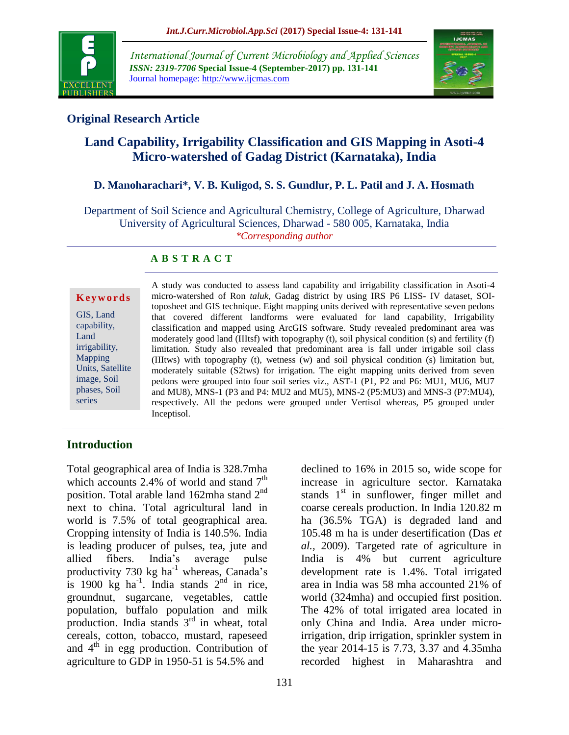

*International Journal of Current Microbiology and Applied Sciences ISSN: 2319-7706* **Special Issue-4 (September-2017) pp. 131-141** Journal homepage: http://www.ijcmas.com



## **Original Research Article**

# **Land Capability, Irrigability Classification and GIS Mapping in Asoti-4 Micro-watershed of Gadag District (Karnataka), India**

### **D. Manoharachari\*, V. B. Kuligod, S. S. Gundlur, P. L. Patil and J. A. Hosmath**

Department of Soil Science and Agricultural Chemistry, College of Agriculture, Dharwad University of Agricultural Sciences, Dharwad - 580 005, Karnataka, India *\*Corresponding author*

### **A B S T R A C T**

#### **K e y w o r d s**

GIS, Land capability, Land irrigability, Mapping Units, Satellite image, Soil phases, Soil series

A study was conducted to assess land capability and irrigability classification in Asoti-4 micro-watershed of Ron *taluk*, Gadag district by using IRS P6 LISS- IV dataset, SOItoposheet and GIS technique. Eight mapping units derived with representative seven pedons that covered different landforms were evaluated for land capability, Irrigability classification and mapped using ArcGIS software. Study revealed predominant area was moderately good land (IIItsf) with topography (t), soil physical condition (s) and fertility (f) limitation. Study also revealed that predominant area is fall under irrigable soil class (IIItws) with topography (t), wetness (w) and soil physical condition (s) limitation but, moderately suitable (S2tws) for irrigation. The eight mapping units derived from seven pedons were grouped into four soil series viz., AST-1 (P1, P2 and P6: MU1, MU6, MU7 and MU8), MNS-1 (P3 and P4: MU2 and MU5), MNS-2 (P5:MU3) and MNS-3 (P7:MU4), respectively. All the pedons were grouped under Vertisol whereas, P5 grouped under Inceptisol.

### **Introduction**

Total geographical area of India is 328.7mha which accounts 2.4% of world and stand  $7<sup>th</sup>$ position. Total arable land 162mha stand  $2<sup>nd</sup>$ next to china. Total agricultural land in world is 7.5% of total geographical area. Cropping intensity of India is 140.5%. India is leading producer of pulses, tea, jute and allied fibers. India's average pulse productivity  $730 \text{ kg}$  ha<sup>-1</sup> whereas, Canada's is 1900 kg ha<sup>-1</sup>. India stands  $2<sup>nd</sup>$  in rice, groundnut, sugarcane, vegetables, cattle population, buffalo population and milk production. India stands  $3<sup>rd</sup>$  in wheat, total cereals, cotton, tobacco, mustard, rapeseed and  $4<sup>th</sup>$  in egg production. Contribution of agriculture to GDP in 1950-51 is 54.5% and

declined to 16% in 2015 so, wide scope for increase in agriculture sector. Karnataka stands  $1<sup>st</sup>$  in sunflower, finger millet and coarse cereals production. In India 120.82 m ha (36.5% TGA) is degraded land and 105.48 m ha is under desertification (Das *et al.,* 2009). Targeted rate of agriculture in India is 4% but current agriculture development rate is 1.4%. Total irrigated area in India was 58 mha accounted 21% of world (324mha) and occupied first position. The 42% of total irrigated area located in only China and India. Area under microirrigation, drip irrigation, sprinkler system in the year 2014-15 is 7.73, 3.37 and 4.35mha recorded highest in Maharashtra and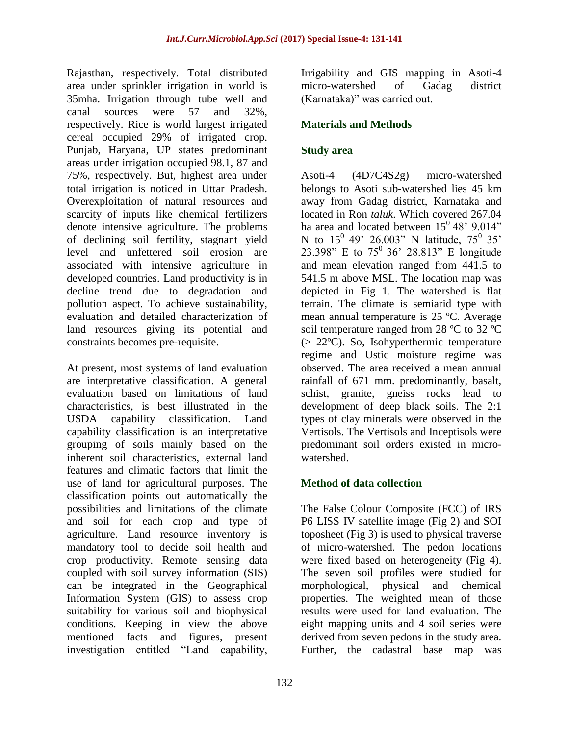Rajasthan, respectively. Total distributed area under sprinkler irrigation in world is 35mha. Irrigation through tube well and canal sources were 57 and 32%, respectively. Rice is world largest irrigated cereal occupied 29% of irrigated crop. Punjab, Haryana, UP states predominant areas under irrigation occupied 98.1, 87 and 75%, respectively. But, highest area under total irrigation is noticed in Uttar Pradesh. Overexploitation of natural resources and scarcity of inputs like chemical fertilizers denote intensive agriculture. The problems of declining soil fertility, stagnant yield level and unfettered soil erosion are associated with intensive agriculture in developed countries. Land productivity is in decline trend due to degradation and pollution aspect. To achieve sustainability, evaluation and detailed characterization of land resources giving its potential and constraints becomes pre-requisite.

At present, most systems of land evaluation are interpretative classification. A general evaluation based on limitations of land characteristics, is best illustrated in the USDA capability classification. Land capability classification is an interpretative grouping of soils mainly based on the inherent soil characteristics, external land features and climatic factors that limit the use of land for agricultural purposes. The classification points out automatically the possibilities and limitations of the climate and soil for each crop and type of agriculture. Land resource inventory is mandatory tool to decide soil health and crop productivity. Remote sensing data coupled with soil survey information (SIS) can be integrated in the Geographical Information System (GIS) to assess crop suitability for various soil and biophysical conditions. Keeping in view the above mentioned facts and figures, present investigation entitled "Land capability,

Irrigability and GIS mapping in Asoti-4 micro-watershed of Gadag district (Karnataka)" was carried out.

## **Materials and Methods**

## **Study area**

Asoti-4 (4D7C4S2g) micro-watershed belongs to Asoti sub-watershed lies 45 km away from Gadag district, Karnataka and located in Ron *taluk*. Which covered 267.04 ha area and located between  $15^0 48' 9.014"$ N to  $15^0$  49' 26.003" N latitude,  $75^0$  35' 23.398" E to  $75^{\circ}$  36' 28.813" E longitude and mean elevation ranged from 441.5 to 541.5 m above MSL. The location map was depicted in Fig 1. The watershed is flat terrain. The climate is semiarid type with mean annual temperature is 25 ºC. Average soil temperature ranged from 28 °C to 32 °C (> 22ºC). So, Isohyperthermic temperature regime and Ustic moisture regime was observed. The area received a mean annual rainfall of 671 mm. predominantly, basalt, schist, granite, gneiss rocks lead to development of deep black soils. The 2:1 types of clay minerals were observed in the Vertisols. The Vertisols and Inceptisols were predominant soil orders existed in microwatershed.

## **Method of data collection**

The False Colour Composite (FCC) of IRS P6 LISS IV satellite image (Fig 2) and SOI toposheet (Fig 3) is used to physical traverse of micro-watershed. The pedon locations were fixed based on heterogeneity (Fig 4). The seven soil profiles were studied for morphological, physical and chemical properties. The weighted mean of those results were used for land evaluation. The eight mapping units and 4 soil series were derived from seven pedons in the study area. Further, the cadastral base map was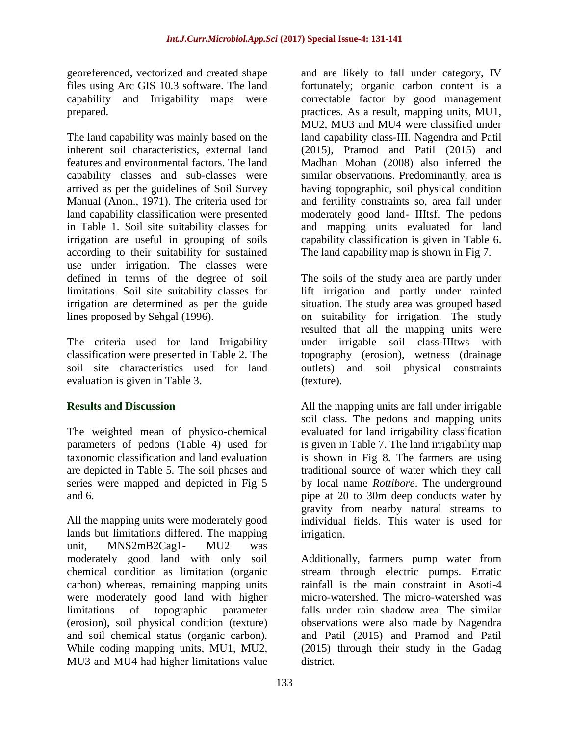georeferenced, vectorized and created shape files using Arc GIS 10.3 software. The land capability and Irrigability maps were prepared.

The land capability was mainly based on the inherent soil characteristics, external land features and environmental factors. The land capability classes and sub-classes were arrived as per the guidelines of Soil Survey Manual (Anon., 1971). The criteria used for land capability classification were presented in Table 1. Soil site suitability classes for irrigation are useful in grouping of soils according to their suitability for sustained use under irrigation. The classes were defined in terms of the degree of soil limitations. Soil site suitability classes for irrigation are determined as per the guide lines proposed by Sehgal (1996).

The criteria used for land Irrigability classification were presented in Table 2. The soil site characteristics used for land evaluation is given in Table 3.

## **Results and Discussion**

The weighted mean of physico-chemical parameters of pedons (Table 4) used for taxonomic classification and land evaluation are depicted in Table 5. The soil phases and series were mapped and depicted in Fig 5 and 6.

All the mapping units were moderately good lands but limitations differed. The mapping unit, MNS2mB2Cag1- MU2 was moderately good land with only soil chemical condition as limitation (organic carbon) whereas, remaining mapping units were moderately good land with higher limitations of topographic parameter (erosion), soil physical condition (texture) and soil chemical status (organic carbon). While coding mapping units, MU1, MU2, MU3 and MU4 had higher limitations value

and are likely to fall under category, IV fortunately; organic carbon content is a correctable factor by good management practices. As a result, mapping units, MU1, MU2, MU3 and MU4 were classified under land capability class-III. Nagendra and Patil (2015), Pramod and Patil (2015) and Madhan Mohan (2008) also inferred the similar observations. Predominantly, area is having topographic, soil physical condition and fertility constraints so, area fall under moderately good land- IIItsf. The pedons and mapping units evaluated for land capability classification is given in Table 6. The land capability map is shown in Fig 7.

The soils of the study area are partly under lift irrigation and partly under rainfed situation. The study area was grouped based on suitability for irrigation. The study resulted that all the mapping units were under irrigable soil class-IIItws with topography (erosion), wetness (drainage outlets) and soil physical constraints (texture).

All the mapping units are fall under irrigable soil class. The pedons and mapping units evaluated for land irrigability classification is given in Table 7. The land irrigability map is shown in Fig 8. The farmers are using traditional source of water which they call by local name *Rottibore*. The underground pipe at 20 to 30m deep conducts water by gravity from nearby natural streams to individual fields. This water is used for irrigation.

Additionally, farmers pump water from stream through electric pumps. Erratic rainfall is the main constraint in Asoti-4 micro-watershed. The micro-watershed was falls under rain shadow area. The similar observations were also made by Nagendra and Patil (2015) and Pramod and Patil (2015) through their study in the Gadag district.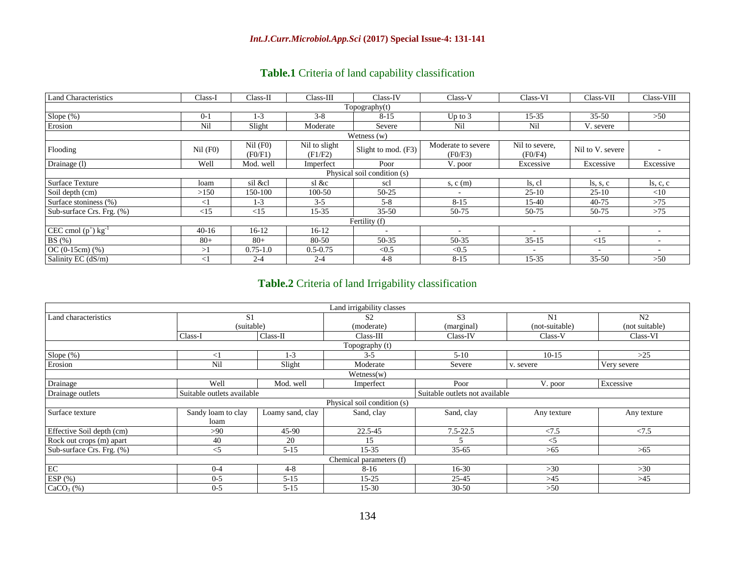## **Table.1** Criteria of land capability classification

| <b>Land Characteristics</b>       | Class-I    | Class-II              | $Class-III$              | Class-IV            | Class-V                       | Class-VI                  | Class-VII                       | Class-VIII               |  |
|-----------------------------------|------------|-----------------------|--------------------------|---------------------|-------------------------------|---------------------------|---------------------------------|--------------------------|--|
| Topography(t)                     |            |                       |                          |                     |                               |                           |                                 |                          |  |
| Slope (%)                         | $0 - 1$    | $1 - 3$               | $3 - 8$                  | $8 - 15$            | Up to $3$                     | 15-35                     | $35 - 50$                       | >50                      |  |
| Erosion                           | Nil        | Slight                | Moderate                 | Severe              | Nil                           | Nil                       | V. severe                       |                          |  |
|                                   |            |                       |                          | Wetness $(w)$       |                               |                           |                                 |                          |  |
| Flooding                          | $Nil$ (F0) | $Nil$ (F0)<br>(F0/F1) | Nil to slight<br>(F1/F2) | Slight to mod. (F3) | Moderate to severe<br>(F0/F3) | Nil to severe,<br>(F0/F4) | Nil to V. severe                |                          |  |
| Drainage (1)                      | Well       | Mod. well             | Imperfect                | Poor                | V. poor                       | Excessive                 | Excessive                       | Excessive                |  |
| Physical soil condition (s)       |            |                       |                          |                     |                               |                           |                                 |                          |  |
| <b>Surface Texture</b>            | loam       | sil &cl               | sl &c                    | scl                 | s, c (m)                      | ls, cl                    | $\text{ls}, \text{s}, \text{c}$ | $\vert$ s, c, c          |  |
| Soil depth (cm)                   | >150       | 150-100               | 100-50                   | 50-25               | $\overline{\phantom{a}}$      | $25-10$                   | $25-10$                         | $<$ 10                   |  |
| Surface stoniness (%)             | $<$ 1      | $1 - 3$               | $3-5$                    | $5 - 8$             | $8 - 15$                      | 15-40                     | $40 - 75$                       | >75                      |  |
| Sub-surface Crs. Frg. (%)         | <15        | <15                   | $15 - 35$                | $35 - 50$           | 50-75                         | 50-75                     | 50-75                           | >75                      |  |
|                                   |            |                       |                          | Fertility (f)       |                               |                           |                                 |                          |  |
| CEC cmol $(p^+)$ kg <sup>-1</sup> | $40-16$    | $16-12$               | $16-12$                  |                     |                               |                           | $\overline{\phantom{a}}$        |                          |  |
| BS(%)                             | $80 +$     | $80+$                 | 80-50                    | 50-35               | 50-35                         | $35 - 15$                 | <15                             | $\overline{\phantom{a}}$ |  |
| $OC (0-15cm) (%)$                 | >1         | $0.75 - 1.0$          | $0.5 - 0.75$             | < 0.5               | < 0.5                         | $\overline{\phantom{a}}$  | $\overline{\phantom{a}}$        | $\overline{a}$           |  |
| Salinity EC (dS/m)                | $\leq$ 1   | $2 - 4$               | $2 - 4$                  | $4 - 8$             | $8 - 15$                      | $15 - 35$                 | $35 - 50$                       | >50                      |  |

## **Table.2** Criteria of land Irrigability classification

|                           |                            |                  | Land irrigability classes      |                         |                |                |  |  |  |
|---------------------------|----------------------------|------------------|--------------------------------|-------------------------|----------------|----------------|--|--|--|
| Land characteristics      | S <sub>1</sub>             |                  | S <sub>2</sub>                 | S <sub>3</sub>          | N <sub>1</sub> | N <sub>2</sub> |  |  |  |
|                           | (suitable)                 |                  | (moderate)                     | (marginal)              | (not-suitable) | (not suitable) |  |  |  |
|                           | Class-I                    | Class-II         | Class-III                      | Class-IV                | Class-V        | Class-VI       |  |  |  |
|                           |                            |                  | Topography (t)                 |                         |                |                |  |  |  |
| Slope $(\%)$              | $<$ 1                      | $1 - 3$          | $3 - 5$                        | $5-10$                  | $10-15$        | $>25$          |  |  |  |
| Erosion                   | Nil                        | Slight           | Moderate                       | Severe                  | v. severe      | Very severe    |  |  |  |
|                           |                            |                  | $W{\text{etness}}(w)$          |                         |                |                |  |  |  |
| Drainage                  | Well                       | Mod. well        | Imperfect                      | Poor<br>V. poor         |                | Excessive      |  |  |  |
| Drainage outlets          | Suitable outlets available |                  | Suitable outlets not available |                         |                |                |  |  |  |
|                           |                            |                  | Physical soil condition (s)    |                         |                |                |  |  |  |
| Surface texture           | Sandy loam to clay<br>loam | Loamy sand, clay | Sand, clay                     | Sand, clay              | Any texture    | Any texture    |  |  |  |
| Effective Soil depth (cm) | >90                        | $45-90$          | 22.5-45                        | $7.5 - 22.5$            | < 7.5          | < 7.5          |  |  |  |
| Rock out crops (m) apart  | 40                         | 20               | 15                             | $\overline{\mathbf{5}}$ | $<$ 5          |                |  |  |  |
| Sub-surface Crs. Frg. (%) | $\leq$ 5                   | $5 - 15$         | $15 - 35$                      | $35 - 65$               | >65            | >65            |  |  |  |
|                           |                            |                  | Chemical parameters (f)        |                         |                |                |  |  |  |
| $\rm EC$                  | $0 - 4$                    | $4 - 8$          | $8-16$                         | 16-30                   | $>30$          | >30            |  |  |  |
| ESP $(\%)$                | $0 - 5$                    | $5 - 15$         | $15 - 25$                      | $25 - 45$               | >45            | >45            |  |  |  |
| CaCO <sub>3</sub> (%)     | $0 - 5$<br>$5 - 15$        |                  | $15 - 30$                      | $30 - 50$               | $>50$          |                |  |  |  |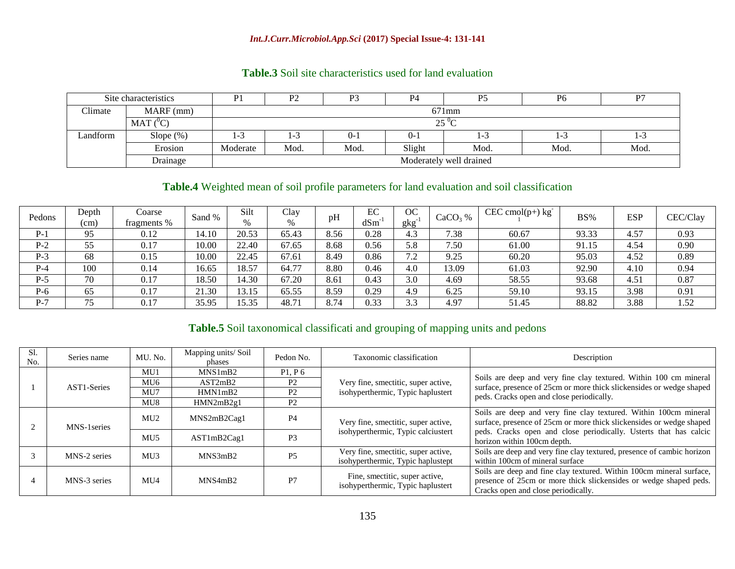#### *Int.J.Curr.Microbiol.App.Sci* **(2017) Special Issue-4: 131-141**

|          | Site characteristics | P1                      | P2       | P3      | P4      | P <sub>5</sub> | P <sub>6</sub> | P7   |  |  |  |  |  |
|----------|----------------------|-------------------------|----------|---------|---------|----------------|----------------|------|--|--|--|--|--|
| Climate  | $MARF$ (mm)          |                         | $671$ mm |         |         |                |                |      |  |  |  |  |  |
|          | $MAT(^0C)$           |                         |          |         |         | $25^{\circ}C$  |                |      |  |  |  |  |  |
| Landform | Slope $(\%)$         | 1-3                     | 1-3      | $0 - 1$ | $0 - 1$ | 170            | 1-3            | 1-3  |  |  |  |  |  |
|          | Erosion              | Moderate                | Mod.     | Mod.    | Slight  | Mod.           | Mod.           | Mod. |  |  |  |  |  |
|          | Drainage             | Moderately well drained |          |         |         |                |                |      |  |  |  |  |  |

### **Table.3** Soil site characteristics used for land evaluation

### **Table.4** Weighted mean of soil profile parameters for land evaluation and soil classification

| Pedons | Depth<br>(cm) | Coarse<br>fragments % | Sand % | Silt<br>$\%$ | Clay<br>% | рH   | EC<br>dSm | ОC<br>gkg                      | $CaCO3$ % | $CEC \, \text{cmol}(p+) \, \text{kg}^{-}$ | BS%   | <b>ESP</b> | CEC/Clay |
|--------|---------------|-----------------------|--------|--------------|-----------|------|-----------|--------------------------------|-----------|-------------------------------------------|-------|------------|----------|
| $P-1$  | 95            | 0.12                  | 14.10  | 20.53        | 65.43     | 8.56 | 0.28      | 4.3                            | 7.38      | 60.67                                     | 93.33 | 4.57       | 0.93     |
| $P-2$  | 55            | 0.17                  | 10.00  | 22.40        | 67.65     | 8.68 | 0.56      | 5.8                            | 7.50      | 61.00                                     | 91.15 | 4.54       | 0.90     |
| $P-3$  | 68            | 0.15                  | 10.00  | 22.45        | 67.61     | 8.49 | 0.86      | 72<br>$\overline{\phantom{a}}$ | 9.25      | 60.20                                     | 95.03 | 4.52       | 0.89     |
| $P-4$  | 100           | 0.14                  | 16.65  | 18.57        | 64.77     | 8.80 | 0.46      | 4.0                            | 13.09     | 61.03                                     | 92.90 | 4.10       | 0.94     |
| $P-5$  | 70            | 0.17                  | 18.50  | 14.30        | 67.20     | 8.6  | 0.43      | 3.0                            | 4.69      | 58.55                                     | 93.68 | 4.51       | 0.87     |
| $P-6$  | 65            | 0.17                  | 21.30  | 13.15        | 65.55     | 8.59 | 0.29      | 4.9                            | 6.25      | 59.10                                     | 93.15 | 3.98       | 0.91     |
| $P-7$  | 75            | 0.17                  | 35.95  | 15.35        | 48.71     | 8.74 | 0.33      | 3.3                            | 4.97      | 51.45                                     | 88.82 | 3.88       | 1.52     |

## **Table.5** Soil taxonomical classificati and grouping of mapping units and pedons

| Sl.<br>No. | Series name  | MU. No.         | Mapping units/Soil<br>phases | Pedon No.      | Taxonomic classification                                                 | Description                                                                                                                                                                      |  |  |  |
|------------|--------------|-----------------|------------------------------|----------------|--------------------------------------------------------------------------|----------------------------------------------------------------------------------------------------------------------------------------------------------------------------------|--|--|--|
|            |              | MU1             | MNS1mB2                      | P1, P6         |                                                                          |                                                                                                                                                                                  |  |  |  |
|            | AST1-Series  | MU <sub>6</sub> | AST2mB2                      | P <sub>2</sub> | Very fine, smectitic, super active,                                      | Soils are deep and very fine clay textured. Within 100 cm mineral                                                                                                                |  |  |  |
|            |              | MU7             | HMN1mB2                      | P <sub>2</sub> | isohyperthermic, Typic haplustert                                        | surface, presence of 25cm or more thick slickensides or wedge shaped<br>peds. Cracks open and close periodically.                                                                |  |  |  |
|            |              | MU8             | HMN2mB2g1                    | P <sub>2</sub> |                                                                          |                                                                                                                                                                                  |  |  |  |
|            | MNS-1 series | MU2             | MNS2mB2Cag1                  | P <sub>4</sub> | Very fine, smectitic, super active,                                      | Soils are deep and very fine clay textured. Within 100cm mineral<br>surface, presence of 25cm or more thick slickensides or wedge shaped                                         |  |  |  |
|            |              | MU <sub>5</sub> | AST1mB2Cag1                  | P <sub>3</sub> | isohyperthermic, Typic calciustert                                       | peds. Cracks open and close periodically. Usterts that has calcic<br>horizon within 100cm depth.                                                                                 |  |  |  |
|            | MNS-2 series | MU3             | MNS3mB2                      | P5             | Very fine, smectitic, super active,<br>isohyperthermic, Typic haplustept | Soils are deep and very fine clay textured, presence of cambic horizon<br>within 100cm of mineral surface                                                                        |  |  |  |
|            | MNS-3 series | MU4             | MNS4mB2                      | P7             | Fine, smectitic, super active,<br>isohyperthermic, Typic haplustert      | Soils are deep and fine clay textured. Within 100cm mineral surface,<br>presence of 25cm or more thick slickensides or wedge shaped peds.<br>Cracks open and close periodically. |  |  |  |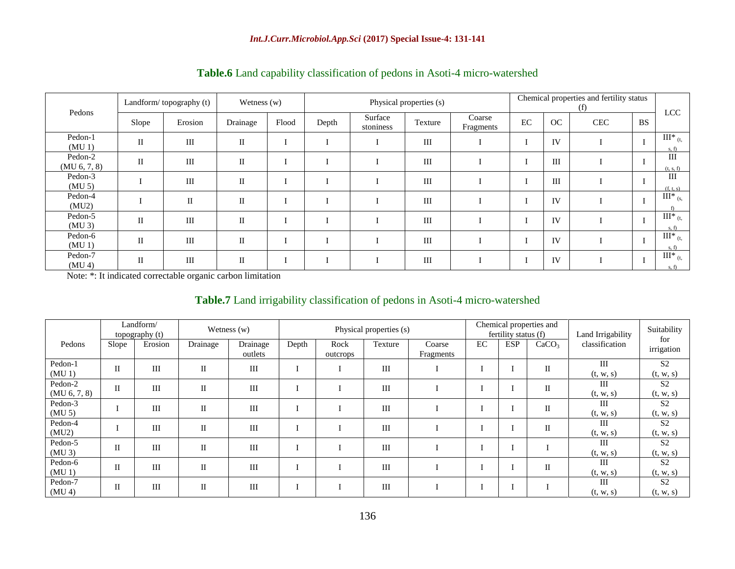|                               | Landform/topography (t) |              | Wetness $(w)$ |       | Physical properties (s) |                      |         |                     |    | Chemical properties and fertility status<br>(f) |            |           |                                |
|-------------------------------|-------------------------|--------------|---------------|-------|-------------------------|----------------------|---------|---------------------|----|-------------------------------------------------|------------|-----------|--------------------------------|
| Pedons                        | Slope                   | Erosion      | Drainage      | Flood | Depth                   | Surface<br>stoniness | Texture | Coarse<br>Fragments | EC | OC                                              | <b>CEC</b> | <b>BS</b> | LCC                            |
| Pedon-1<br>(MU <sub>1</sub> ) | $\mathbf{I}$            | III          | $\mathbf{I}$  |       |                         |                      | III     |                     |    | IV                                              |            |           | $III^*_{(t, )}$<br>s.f)        |
| Pedon-2<br>(MU 6, 7, 8)       | $\mathbf{I}$            | III          | $\mathbf H$   |       |                         |                      | III     |                     |    | III                                             |            |           | III<br>(t, s, f)               |
| Pedon-3<br>(MU <sub>5</sub> ) |                         | III          | $\mathbf{I}$  |       |                         |                      | III     |                     |    | III                                             |            |           | III<br>(f, t, s)               |
| Pedon-4<br>(MU2)              |                         | $\mathbf{I}$ | $\mathbf{I}$  |       |                         |                      | III     |                     |    | IV                                              |            |           | $III^*_{(s, \cdot)}$<br>f      |
| Pedon-5<br>$(MU_3)$           | $\mathbf{I}$            | III          | $\mathbf{I}$  |       |                         |                      | III     |                     |    | IV                                              |            | л.        | $III^*$ <sub>(t,</sub><br>s.f) |
| Pedon-6<br>(MU1)              | $\mathbf{I}$            | III          | $\mathbf{I}$  |       |                         |                      | III     |                     |    | IV                                              |            |           | $III^*_{(t, )}$<br>s.f)        |
| Pedon-7<br>(MU <sub>4</sub> ) | $_{\rm II}$             | III          | П             |       |                         |                      | III     |                     |    | IV                                              |            | п.        | $III^*_{(t, )}$<br>s, f        |

### **Table.6** Land capability classification of pedons in Asoti-4 micro-watershed

Note: \*: It indicated correctable organic carbon limitation

### **Table.7** Land irrigability classification of pedons in Asoti-4 micro-watershed

|                               |                     | Landform/<br>topography (t) |              | Wetness $(w)$       | Physical properties (s) |                  |         |                     | Chemical properties and<br>fertility status (f) |            |                   | Land Irrigability               | Suitability<br>for          |  |
|-------------------------------|---------------------|-----------------------------|--------------|---------------------|-------------------------|------------------|---------|---------------------|-------------------------------------------------|------------|-------------------|---------------------------------|-----------------------------|--|
| Pedons                        | Slope               | Erosion                     | Drainage     | Drainage<br>outlets | Depth                   | Rock<br>outcrops | Texture | Coarse<br>Fragments | EC                                              | <b>ESP</b> | CaCO <sub>3</sub> | classification                  | irrigation                  |  |
| Pedon-1<br>$(MU_1)$           | $\overline{\rm II}$ | III                         | $\rm II$     | $\rm III$           |                         |                  | III     |                     |                                                 |            | $\rm II$          | $\mathop{\rm III}$<br>(t, w, s) | S <sub>2</sub><br>(t, w, s) |  |
| Pedon-2<br>(MU 6, 7, 8)       | $\mathbf{I}$        | III                         | $\mathbf{I}$ | $\rm III$           |                         |                  | III     |                     |                                                 |            | $\mathbf I$       | Ш<br>(t, w, s)                  | S <sub>2</sub><br>(t, w, s) |  |
| Pedon-3<br>(MU <sub>5</sub> ) |                     | III                         | $\mathbf{I}$ | III                 |                         |                  | III     |                     |                                                 |            | П                 | Ш<br>(t, w, s)                  | S <sub>2</sub><br>(t, w, s) |  |
| Pedon-4<br>(MU2)              |                     | III                         | $\mathbf{I}$ | III                 |                         |                  | III     |                     |                                                 |            | $\mathbf{I}$      | III<br>(t, w, s)                | S <sub>2</sub><br>(t, w, s) |  |
| Pedon-5<br>$(MU_3)$           | $_{\rm II}$         | III                         | $\mathbf{I}$ | III                 |                         |                  | III     |                     |                                                 |            |                   | III<br>(t, w, s)                | S <sub>2</sub><br>(t, w, s) |  |
| Pedon-6<br>$(MU_1)$           | $\overline{\rm II}$ | III                         | $\mathbf{I}$ | III                 |                         |                  | III     |                     |                                                 |            | $\mathbf I$       | $\mathop{\rm III}$<br>(t, w, s) | S <sub>2</sub><br>(t, w, s) |  |
| Pedon-7<br>(MU <sub>4</sub> ) | $_{\rm II}$         | III                         | $\mathbf{I}$ | III                 |                         |                  | III     |                     |                                                 |            |                   | Ш<br>(t, w, s)                  | S <sub>2</sub><br>(t, w, s) |  |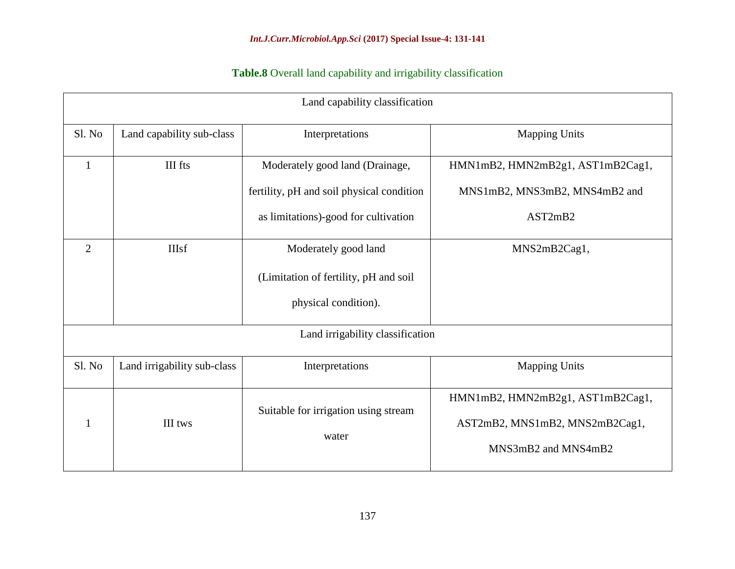# **Table.8** Overall land capability and irrigability classification

|                | Land capability classification |                                                                                       |                                                                                           |  |  |  |  |  |  |  |  |
|----------------|--------------------------------|---------------------------------------------------------------------------------------|-------------------------------------------------------------------------------------------|--|--|--|--|--|--|--|--|
| Sl. No         | Land capability sub-class      | Interpretations                                                                       | <b>Mapping Units</b>                                                                      |  |  |  |  |  |  |  |  |
| $\mathbf{1}$   | III fts                        | Moderately good land (Drainage,<br>fertility, pH and soil physical condition          | HMN1mB2, HMN2mB2g1, AST1mB2Cag1,<br>MNS1mB2, MNS3mB2, MNS4mB2 and                         |  |  |  |  |  |  |  |  |
|                |                                | as limitations)-good for cultivation                                                  | AST2mB2                                                                                   |  |  |  |  |  |  |  |  |
| $\overline{2}$ | <b>IIIsf</b>                   | Moderately good land<br>(Limitation of fertility, pH and soil<br>physical condition). | MNS2mB2Cag1,                                                                              |  |  |  |  |  |  |  |  |
|                |                                | Land irrigability classification                                                      |                                                                                           |  |  |  |  |  |  |  |  |
| Sl. No         | Land irrigability sub-class    | Interpretations                                                                       | <b>Mapping Units</b>                                                                      |  |  |  |  |  |  |  |  |
| 1              | III tws                        | Suitable for irrigation using stream<br>water                                         | HMN1mB2, HMN2mB2g1, AST1mB2Cag1,<br>AST2mB2, MNS1mB2, MNS2mB2Cag1,<br>MNS3mB2 and MNS4mB2 |  |  |  |  |  |  |  |  |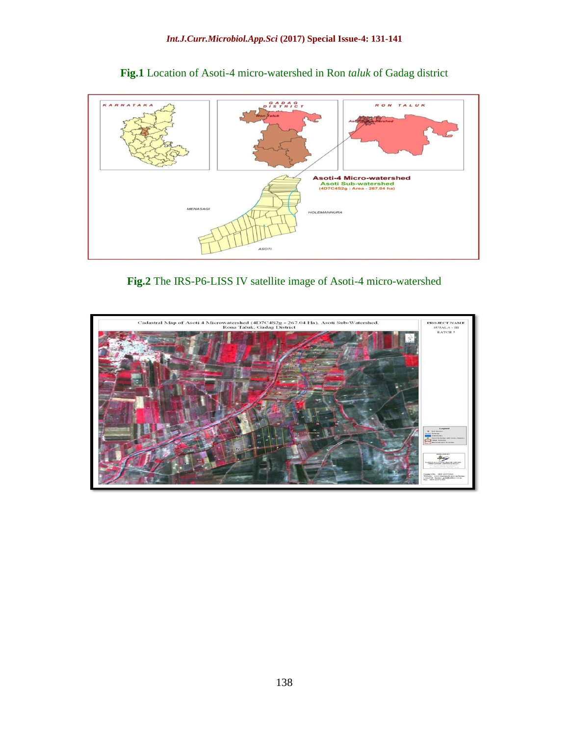

**Fig.1** Location of Asoti-4 micro-watershed in Ron *taluk* of Gadag district

**Fig.2** The IRS-P6-LISS IV satellite image of Asoti-4 micro-watershed

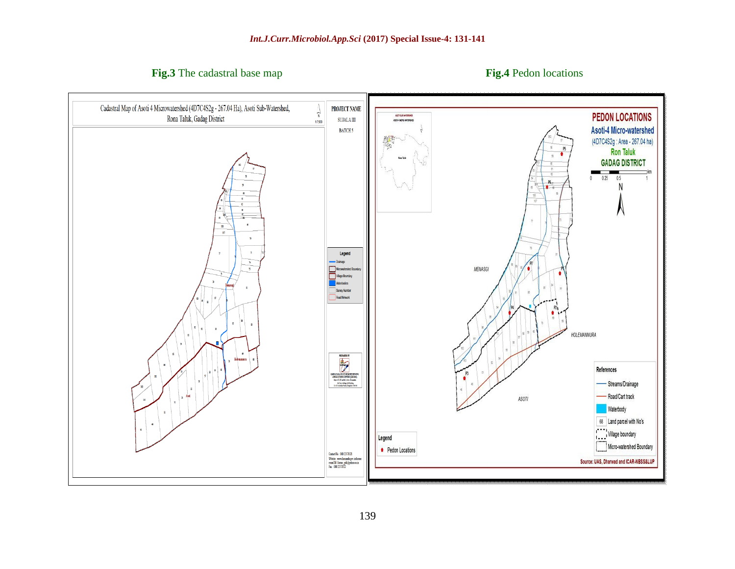**Fig.3** The cadastral base map **Fig.4** Pedon locations

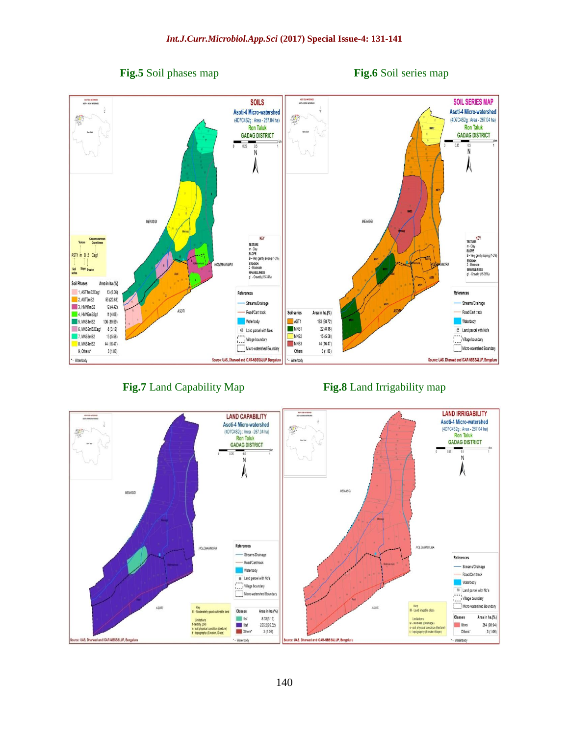*Int.J.Curr.Microbiol.App.Sci* **(2017) Special Issue-4: 131-141**



### **Fig.7** Land Capability Map **Fig.8** Land Irrigability map